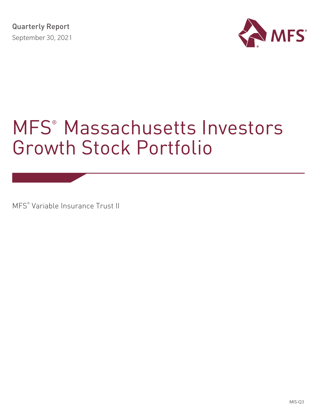

# MFS® Massachusetts Investors Growth Stock Portfolio

MFS® Variable Insurance Trust II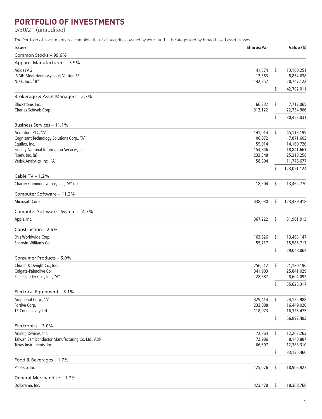## **PORTFOLIO OF INVESTMENTS**

9/30/21 (unaudited)

The Portfolio of Investments is a complete list of all securities owned by your fund. It is categorized by broad-based asset classes.

| <b>Issuer</b>                                                            | <b>Shares/Par</b>  | Value (\$)                    |
|--------------------------------------------------------------------------|--------------------|-------------------------------|
| Common Stocks - 99.6%                                                    |                    |                               |
| Apparel Manufacturers - 3.9%                                             |                    |                               |
| Adidas AG                                                                | 41,574             | \$<br>13,100,251              |
| LVMH Moet Hennessy Louis Vuitton SE                                      | 12,383             | 8,854,638                     |
| NIKE, Inc., "B"                                                          | 142,857            | 20,747,122                    |
|                                                                          |                    | \$<br>42,702,011              |
| Brokerage & Asset Managers - 2.7%                                        |                    |                               |
| Blackstone, Inc.                                                         | 66,332             | \$<br>7,717,065               |
| Charles Schwab Corp.                                                     | 312,122            | 22,734,966                    |
|                                                                          |                    | \$<br>30,452,031              |
| Business Services - 11.1%                                                |                    |                               |
| Accenture PLC, "A"                                                       | 141,014            | \$<br>45,113,199              |
| Cognizant Technology Solutions Corp., "A"                                | 106,072            | 7,871,603                     |
| Equifax, Inc.<br>Fidelity National Information Services, Inc.            | 55,914<br>154,846  | 14,169,726<br>18,841,661      |
| Fiserv, Inc. (a)                                                         | 233,348            | 25,318,258                    |
| Verisk Analytics, Inc., "A"                                              | 58,804             | 11,776,677                    |
|                                                                          |                    | \$<br>123,091,124             |
| Cable TV - 1.2%                                                          |                    |                               |
| Charter Communications, Inc., "A" (a)                                    | 18,504             | \$<br>13,462,770              |
|                                                                          |                    |                               |
| Computer Software - 11.2%                                                |                    |                               |
| Microsoft Corp.                                                          | 438,030            | \$<br>123,489,418             |
| Computer Software - Systems - 4.7%                                       |                    |                               |
| Apple, Inc.                                                              | 367,222            | \$<br>51,961,913              |
|                                                                          |                    |                               |
| Construction $-2.6%$                                                     |                    |                               |
| Otis Worldwide Corp.<br>Sherwin-Williams Co.                             | 163,626            | \$<br>13,463,147              |
|                                                                          | 55,717             | 15,585,717                    |
|                                                                          |                    | \$<br>29,048,864              |
| Consumer Products - 5.0%                                                 |                    |                               |
| Church & Dwight Co., Inc.                                                | 256,512            | \$<br>21,180,196              |
| Colgate-Palmolive Co.                                                    | 341,903            | 25,841,029                    |
| Estee Lauder Cos., Inc., "A"                                             | 28,687             | 8,604,092                     |
|                                                                          |                    | \$<br>55,625,317              |
| Electrical Equipment - 5.1%                                              |                    |                               |
| Amphenol Corp., "A"                                                      | 329,414            | \$<br>24,122,988              |
| Fortive Corp.<br>TE Connectivity Ltd.                                    | 233,088<br>118,973 | 16,449,020<br>16,325,475      |
|                                                                          |                    | \$<br>56,897,483              |
| Electronics - 3.0%                                                       |                    |                               |
|                                                                          |                    |                               |
| Analog Devices, Inc.<br>Taiwan Semiconductor Manufacturing Co. Ltd., ADR | 72,864<br>72,986   | \$<br>12,203,263<br>8,148,887 |
| Texas Instruments, Inc.                                                  | 66,507             | 12,783,310                    |
|                                                                          |                    | \$<br>33,135,460              |
| Food & Beverages - 1.7%                                                  |                    |                               |
| PepsiCo, Inc.                                                            | 125,676            | \$<br>18,902,927              |
| General Merchandise - 1.7%                                               |                    |                               |
| Dollarama, Inc.                                                          |                    | \$<br>18,368,768              |
|                                                                          | 423,478            |                               |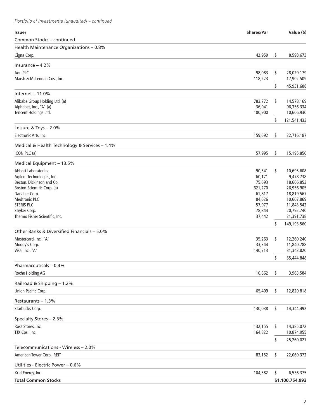*Portfolio of Investments (unaudited) – continued*

| <b>Issuer</b>                                 | <b>Shares/Par</b> | Value (\$)        |
|-----------------------------------------------|-------------------|-------------------|
| Common Stocks - continued                     |                   |                   |
| Health Maintenance Organizations - 0.8%       |                   |                   |
| Cigna Corp.                                   | 42,959            | \$<br>8,598,673   |
| Insurance $-4.2%$                             |                   |                   |
| Aon PLC                                       | 98,083            | \$<br>28,029,179  |
| Marsh & McLennan Cos., Inc.                   | 118,223           | 17,902,509        |
|                                               |                   | \$<br>45,931,688  |
| Internet $-11.0%$                             |                   |                   |
| Alibaba Group Holding Ltd. (a)                | 783,772           | \$<br>14,578,169  |
| Alphabet, Inc., "A" (a)                       | 36,041            | 96,356,334        |
| Tencent Holdings Ltd.                         | 180,900           | 10,606,930        |
|                                               |                   | \$<br>121,541,433 |
| Leisure & Toys - 2.0%                         |                   |                   |
| Electronic Arts, Inc.                         | 159,692           | \$<br>22,716,187  |
| Medical & Health Technology & Services - 1.4% |                   |                   |
| ICON PLC (a)                                  | 57,995            | \$<br>15,195,850  |
| Medical Equipment - 13.5%                     |                   |                   |
| <b>Abbott Laboratories</b>                    | 90,541            | \$<br>10,695,608  |
| Agilent Technologies, Inc.                    | 60,171            | 9,478,738         |
| Becton, Dickinson and Co.                     | 75,693            | 18,606,853        |
| Boston Scientific Corp. (a)                   | 621,270           | 26,956,905        |
| Danaher Corp.                                 | 61,817            | 18,819,567        |
| <b>Medtronic PLC</b>                          | 84,626            | 10,607,869        |
| <b>STERIS PLC</b>                             | 57,977            | 11,843,542        |
| Stryker Corp.                                 | 78,844            | 20,792,740        |
| Thermo Fisher Scientific, Inc.                | 37,442            | 21,391,738        |
|                                               |                   | \$<br>149,193,560 |
| Other Banks & Diversified Financials - 5.0%   |                   |                   |
| Mastercard, Inc., "A"                         | 35,263            | \$<br>12,260,240  |
| Moody's Corp.                                 | 33,344            | 11,840,788        |
| Visa, Inc., "A"                               | 140,713           | 31,343,820        |
|                                               |                   | \$<br>55,444,848  |
| Pharmaceuticals - 0.4%                        |                   |                   |
| Roche Holding AG                              | 10,862            | \$<br>3,963,584   |
| Railroad & Shipping - 1.2%                    |                   |                   |
| Union Pacific Corp.                           | 65,409            | \$<br>12,820,818  |
| Restaurants - 1.3%                            |                   |                   |
| Starbucks Corp.                               | 130,038           | \$<br>14,344,492  |
| Specialty Stores - 2.3%                       |                   |                   |
| Ross Stores, Inc.                             | 132,155           | \$<br>14,385,072  |
| TJX Cos., Inc.                                | 164,822           | 10,874,955        |
|                                               |                   | \$<br>25,260,027  |
| Telecommunications - Wireless - 2.0%          |                   |                   |
| American Tower Corp., REIT                    | 83,152            | \$<br>22,069,372  |
| Utilities - Electric Power - 0.6%             |                   |                   |
| Xcel Energy, Inc.                             | 104,582           | \$<br>6,536,375   |
| <b>Total Common Stocks</b>                    |                   | \$1,100,754,993   |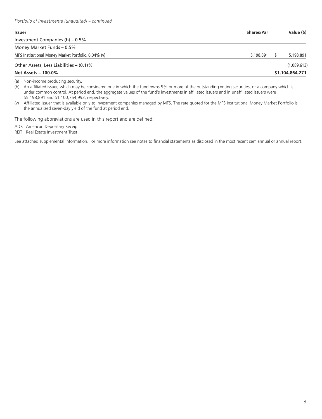| <b>Issuer</b>                                       | <b>Shares/Par</b> | Value (\$)      |
|-----------------------------------------------------|-------------------|-----------------|
| Investment Companies (h) – 0.5%                     |                   |                 |
| Money Market Funds - 0.5%                           |                   |                 |
| MFS Institutional Money Market Portfolio, 0.04% (v) | 5,198,891         | 5,198,891       |
| Other Assets, Less Liabilities - (0.1)%             |                   | (1,089,613)     |
| <b>Net Assets - 100.0%</b>                          |                   | \$1,104,864,271 |

(a) Non-income producing security.

(h) An affiliated issuer, which may be considered one in which the fund owns 5% or more of the outstanding voting securities, or a company which is under common control. At period end, the aggregate values of the fund's investments in affiliated issuers and in unaffiliated issuers were \$5,198,891 and \$1,100,754,993, respectively.

(v) Affiliated issuer that is available only to investment companies managed by MFS. The rate quoted for the MFS Institutional Money Market Portfolio is the annualized seven-day yield of the fund at period end.

The following abbreviations are used in this report and are defined:

ADR American Depositary Receipt

REIT Real Estate Investment Trust

See attached supplemental information. For more information see notes to financial statements as disclosed in the most recent semiannual or annual report.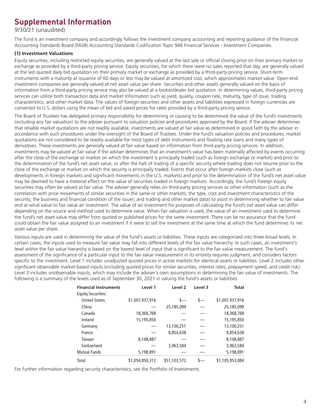## **Supplemental Information**

9/30/21 (unaudited)

The fund is an investment company and accordingly follows the investment company accounting and reporting guidance of the Financial Accounting Standards Board (FASB) Accounting Standards Codification Topic 946 Financial Services - Investment Companies.

### **(1) Investment Valuations**

Equity securities, including restricted equity securities, are generally valued at the last sale or official closing price on their primary market or exchange as provided by a third-party pricing service. Equity securities, for which there were no sales reported that day, are generally valued at the last quoted daily bid quotation on their primary market or exchange as provided by a third-party pricing service. Short-term instruments with a maturity at issuance of 60 days or less may be valued at amortized cost, which approximates market value. Open-end investment companies are generally valued at net asset value per share. Securities and other assets generally valued on the basis of information from a third-party pricing service may also be valued at a broker/dealer bid quotation. In determining values, third-party pricing services can utilize both transaction data and market information such as yield, quality, coupon rate, maturity, type of issue, trading characteristics, and other market data. The values of foreign securities and other assets and liabilities expressed in foreign currencies are converted to U.S. dollars using the mean of bid and asked prices for rates provided by a third-party pricing service.

The Board of Trustees has delegated primary responsibility for determining or causing to be determined the value of the fund's investments (including any fair valuation) to the adviser pursuant to valuation policies and procedures approved by the Board. If the adviser determines that reliable market quotations are not readily available, investments are valued at fair value as determined in good faith by the adviser in accordance with such procedures under the oversight of the Board of Trustees. Under the fund's valuation policies and procedures, market quotations are not considered to be readily available for most types of debt instruments and floating rate loans and many types of derivatives. These investments are generally valued at fair value based on information from third-party pricing services. In addition, investments may be valued at fair value if the adviser determines that an investment's value has been materially affected by events occurring after the close of the exchange or market on which the investment is principally traded (such as foreign exchange or market) and prior to the determination of the fund's net asset value, or after the halt of trading of a specific security where trading does not resume prior to the close of the exchange or market on which the security is principally traded. Events that occur after foreign markets close (such as developments in foreign markets and significant movements in the U.S. markets) and prior to the determination of the fund's net asset value may be deemed to have a material effect on the value of securities traded in foreign markets. Accordingly, the fund's foreign equity securities may often be valued at fair value. The adviser generally relies on third-party pricing services or other information (such as the correlation with price movements of similar securities in the same or other markets; the type, cost and investment characteristics of the security; the business and financial condition of the issuer; and trading and other market data) to assist in determining whether to fair value and at what value to fair value an investment. The value of an investment for purposes of calculating the fund's net asset value can differ depending on the source and method used to determine value. When fair valuation is used, the value of an investment used to determine the fund's net asset value may differ from quoted or published prices for the same investment. There can be no assurance that the fund could obtain the fair value assigned to an investment if it were to sell the investment at the same time at which the fund determines its net asset value per share.

Various inputs are used in determining the value of the fund's assets or liabilities. These inputs are categorized into three broad levels. In certain cases, the inputs used to measure fair value may fall into different levels of the fair value hierarchy. In such cases, an investment's level within the fair value hierarchy is based on the lowest level of input that is significant to the fair value measurement. The fund's assessment of the significance of a particular input to the fair value measurement in its entirety requires judgment, and considers factors specific to the investment. Level 1 includes unadjusted quoted prices in active markets for identical assets or liabilities. Level 2 includes other significant observable market-based inputs (including quoted prices for similar securities, interest rates, prepayment speed, and credit risk). Level 3 includes unobservable inputs, which may include the adviser's own assumptions in determining the fair value of investments. The following is a summary of the levels used as of September 30, 2021 in valuing the fund's assets or liabilities:

| <b>Financial Instruments</b> | Level 1         | Level <sub>2</sub> | Level 3 | <b>Total</b>    |
|------------------------------|-----------------|--------------------|---------|-----------------|
| <b>Equity Securities:</b>    |                 |                    |         |                 |
| <b>United States</b>         | \$1,007,937,916 | $S-$               | s—      | \$1,007,937,916 |
| China                        |                 | 25,185,099         |         | 25,185,099      |
| Canada                       | 18,368,768      |                    |         | 18,368,768      |
| Ireland                      | 15,195,850      |                    |         | 15,195,850      |
| Germany                      |                 | 13,100,251         |         | 13,100,251      |
| France                       |                 | 8,854,638          |         | 8,854,638       |
| Taiwan                       | 8,148,887       |                    |         | 8,148,887       |
| Switzerland                  |                 | 3,963,584          |         | 3,963,584       |
| <b>Mutual Funds</b>          | 5,198,891       |                    |         | 5,198,891       |
| Total                        | \$1,054,850,312 | \$51,103,572       |         | \$1,105,953,884 |

For further information regarding security characteristics, see the Portfolio of Investments.